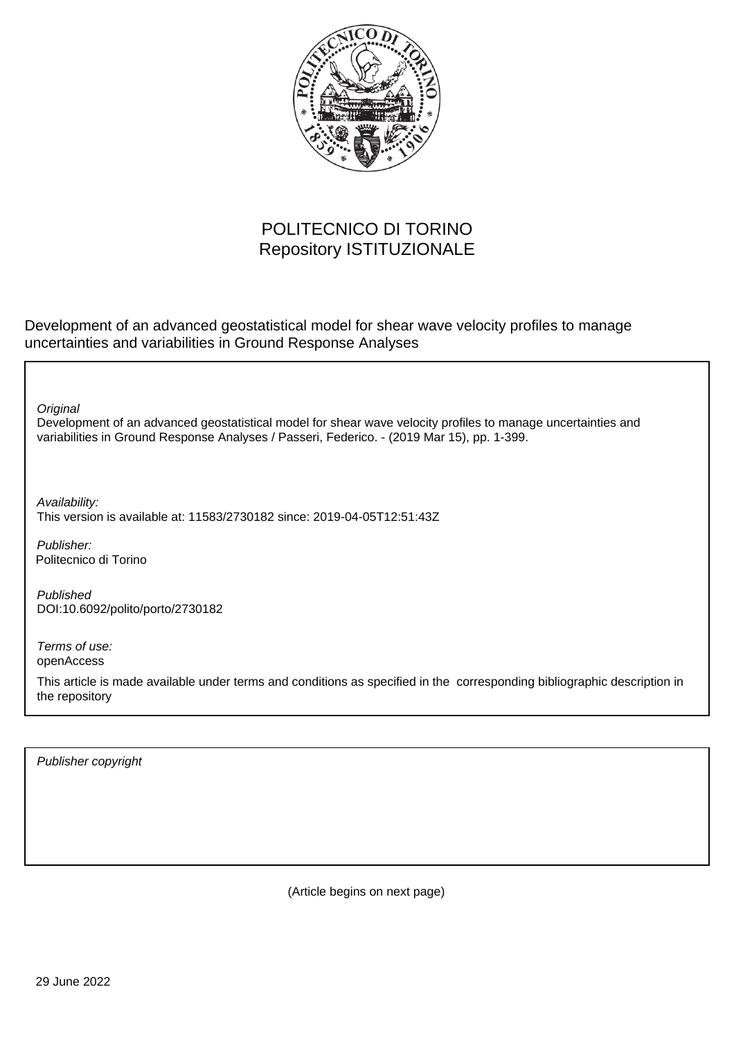

## POLITECNICO DI TORINO Repository ISTITUZIONALE

Development of an advanced geostatistical model for shear wave velocity profiles to manage uncertainties and variabilities in Ground Response Analyses

**Original** 

Development of an advanced geostatistical model for shear wave velocity profiles to manage uncertainties and variabilities in Ground Response Analyses / Passeri, Federico. - (2019 Mar 15), pp. 1-399.

Availability: This version is available at: 11583/2730182 since: 2019-04-05T12:51:43Z

Publisher: Politecnico di Torino

Published DOI:10.6092/polito/porto/2730182

Terms of use: openAccess

This article is made available under terms and conditions as specified in the corresponding bibliographic description in the repository

Publisher copyright

(Article begins on next page)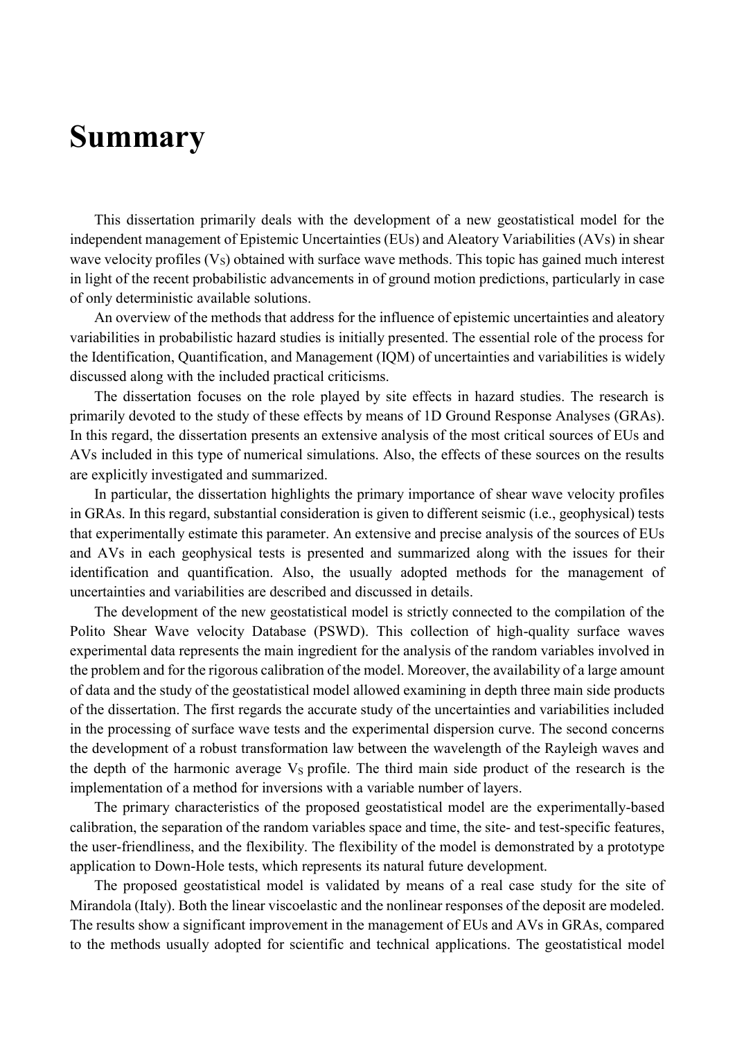## **Summary**

This dissertation primarily deals with the development of a new geostatistical model for the independent management of Epistemic Uncertainties (EUs) and Aleatory Variabilities (AVs) in shear wave velocity profiles  $(V<sub>S</sub>)$  obtained with surface wave methods. This topic has gained much interest in light of the recent probabilistic advancements in of ground motion predictions, particularly in case of only deterministic available solutions.

An overview of the methods that address for the influence of epistemic uncertainties and aleatory variabilities in probabilistic hazard studies is initially presented. The essential role of the process for the Identification, Quantification, and Management (IQM) of uncertainties and variabilities is widely discussed along with the included practical criticisms.

The dissertation focuses on the role played by site effects in hazard studies. The research is primarily devoted to the study of these effects by means of 1D Ground Response Analyses (GRAs). In this regard, the dissertation presents an extensive analysis of the most critical sources of EUs and AVs included in this type of numerical simulations. Also, the effects of these sources on the results are explicitly investigated and summarized.

In particular, the dissertation highlights the primary importance of shear wave velocity profiles in GRAs. In this regard, substantial consideration is given to different seismic (i.e., geophysical) tests that experimentally estimate this parameter. An extensive and precise analysis of the sources of EUs and AVs in each geophysical tests is presented and summarized along with the issues for their identification and quantification. Also, the usually adopted methods for the management of uncertainties and variabilities are described and discussed in details.

The development of the new geostatistical model is strictly connected to the compilation of the Polito Shear Wave velocity Database (PSWD). This collection of high-quality surface waves experimental data represents the main ingredient for the analysis of the random variables involved in the problem and for the rigorous calibration of the model. Moreover, the availability of a large amount of data and the study of the geostatistical model allowed examining in depth three main side products of the dissertation. The first regards the accurate study of the uncertainties and variabilities included in the processing of surface wave tests and the experimental dispersion curve. The second concerns the development of a robust transformation law between the wavelength of the Rayleigh waves and the depth of the harmonic average  $V<sub>S</sub>$  profile. The third main side product of the research is the implementation of a method for inversions with a variable number of layers.

The primary characteristics of the proposed geostatistical model are the experimentally-based calibration, the separation of the random variables space and time, the site- and test-specific features, the user-friendliness, and the flexibility. The flexibility of the model is demonstrated by a prototype application to Down-Hole tests, which represents its natural future development.

The proposed geostatistical model is validated by means of a real case study for the site of Mirandola (Italy). Both the linear viscoelastic and the nonlinear responses of the deposit are modeled. The results show a significant improvement in the management of EUs and AVs in GRAs, compared to the methods usually adopted for scientific and technical applications. The geostatistical model